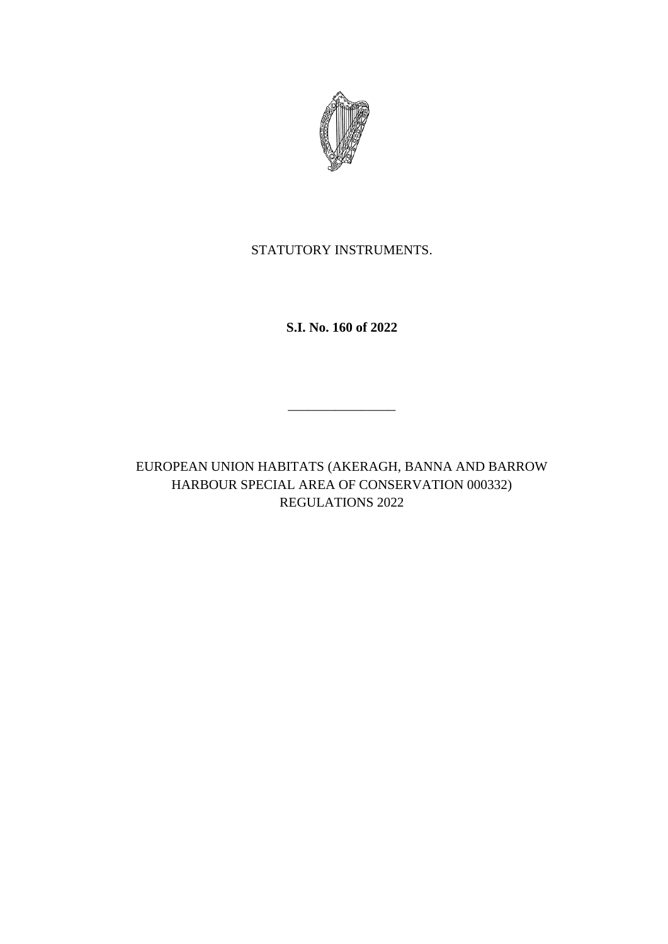

STATUTORY INSTRUMENTS.

**S.I. No. 160 of 2022**

EUROPEAN UNION HABITATS (AKERAGH, BANNA AND BARROW HARBOUR SPECIAL AREA OF CONSERVATION 000332) REGULATIONS 2022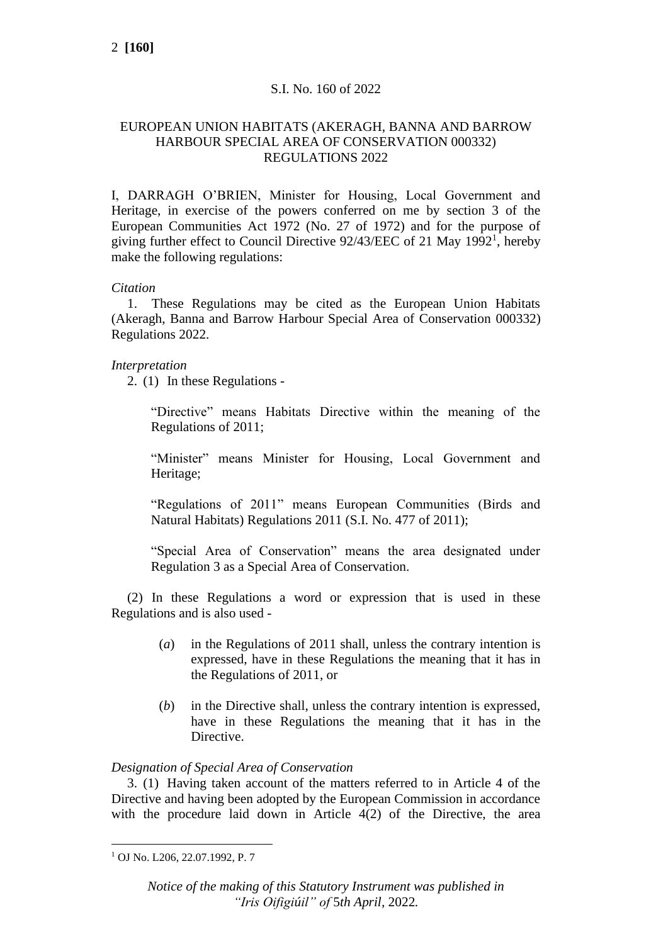# S.I. No. 160 of 2022

## EUROPEAN UNION HABITATS (AKERAGH, BANNA AND BARROW HARBOUR SPECIAL AREA OF CONSERVATION 000332) REGULATIONS 2022

I, DARRAGH O'BRIEN, Minister for Housing, Local Government and Heritage, in exercise of the powers conferred on me by section 3 of the European Communities Act 1972 (No. 27 of 1972) and for the purpose of giving further effect to Council Directive 92/43/EEC of 21 May 1992<sup>1</sup>, hereby make the following regulations:

## *Citation*

1. These Regulations may be cited as the European Union Habitats (Akeragh, Banna and Barrow Harbour Special Area of Conservation 000332) Regulations 2022.

# *Interpretation*

2. (1) In these Regulations -

"Directive" means Habitats Directive within the meaning of the Regulations of 2011;

"Minister" means Minister for Housing, Local Government and Heritage;

"Regulations of 2011" means European Communities (Birds and Natural Habitats) Regulations 2011 (S.I. No. 477 of 2011);

"Special Area of Conservation" means the area designated under Regulation 3 as a Special Area of Conservation.

(2) In these Regulations a word or expression that is used in these Regulations and is also used -

- (*a*) in the Regulations of 2011 shall, unless the contrary intention is expressed, have in these Regulations the meaning that it has in the Regulations of 2011, or
- (*b*) in the Directive shall, unless the contrary intention is expressed, have in these Regulations the meaning that it has in the Directive.

## *Designation of Special Area of Conservation*

3. (1) Having taken account of the matters referred to in Article 4 of the Directive and having been adopted by the European Commission in accordance with the procedure laid down in Article 4(2) of the Directive, the area

<sup>1</sup> OJ No. L206, 22.07.1992, P. 7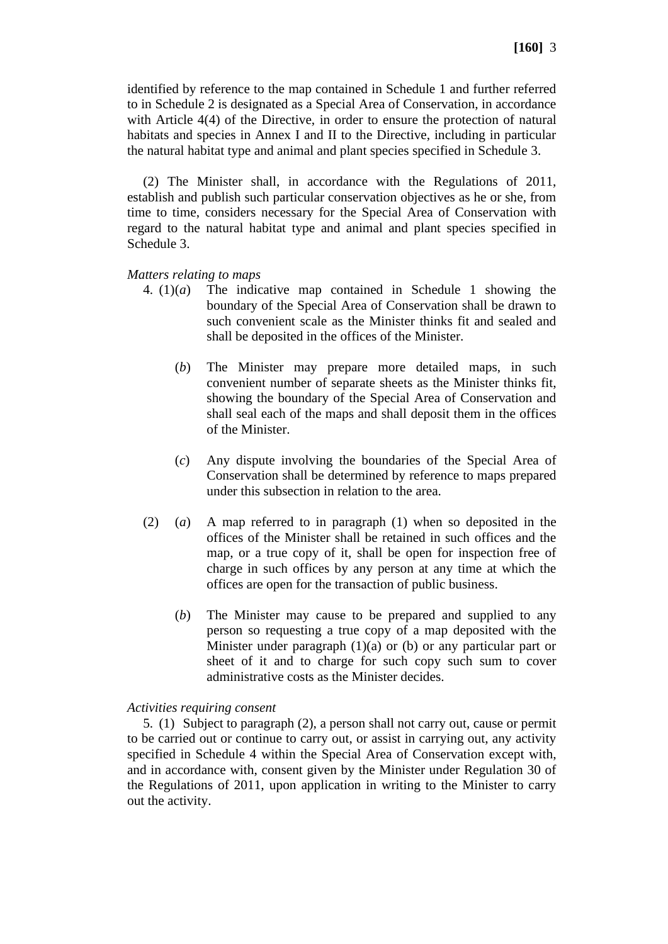identified by reference to the map contained in Schedule 1 and further referred to in Schedule 2 is designated as a Special Area of Conservation, in accordance with Article 4(4) of the Directive, in order to ensure the protection of natural habitats and species in Annex I and II to the Directive, including in particular the natural habitat type and animal and plant species specified in Schedule 3.

(2) The Minister shall, in accordance with the Regulations of 2011, establish and publish such particular conservation objectives as he or she, from time to time, considers necessary for the Special Area of Conservation with regard to the natural habitat type and animal and plant species specified in Schedule 3.

### *Matters relating to maps*

- 4. (1)(*a*) The indicative map contained in Schedule 1 showing the boundary of the Special Area of Conservation shall be drawn to such convenient scale as the Minister thinks fit and sealed and shall be deposited in the offices of the Minister.
	- (*b*) The Minister may prepare more detailed maps, in such convenient number of separate sheets as the Minister thinks fit, showing the boundary of the Special Area of Conservation and shall seal each of the maps and shall deposit them in the offices of the Minister.
	- (*c*) Any dispute involving the boundaries of the Special Area of Conservation shall be determined by reference to maps prepared under this subsection in relation to the area.
- (2) (*a*) A map referred to in paragraph (1) when so deposited in the offices of the Minister shall be retained in such offices and the map, or a true copy of it, shall be open for inspection free of charge in such offices by any person at any time at which the offices are open for the transaction of public business.
	- (*b*) The Minister may cause to be prepared and supplied to any person so requesting a true copy of a map deposited with the Minister under paragraph (1)(a) or (b) or any particular part or sheet of it and to charge for such copy such sum to cover administrative costs as the Minister decides.

### *Activities requiring consent*

5. (1) Subject to paragraph (2), a person shall not carry out, cause or permit to be carried out or continue to carry out, or assist in carrying out, any activity specified in Schedule 4 within the Special Area of Conservation except with, and in accordance with, consent given by the Minister under Regulation 30 of the Regulations of 2011, upon application in writing to the Minister to carry out the activity.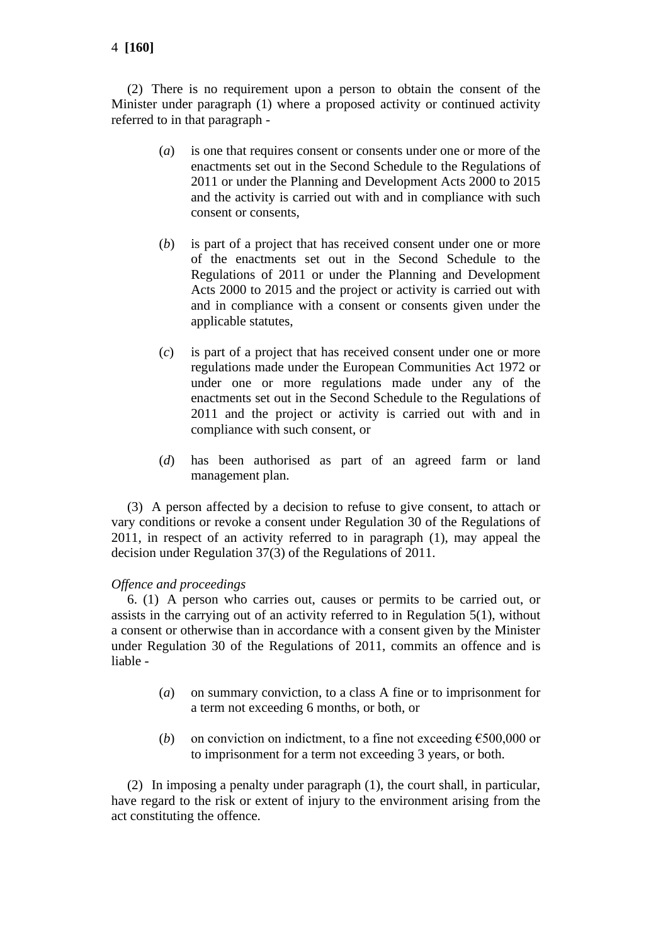4 **[160]**

(2) There is no requirement upon a person to obtain the consent of the Minister under paragraph (1) where a proposed activity or continued activity referred to in that paragraph -

- (*a*) is one that requires consent or consents under one or more of the enactments set out in the Second Schedule to the Regulations of 2011 or under the Planning and Development Acts 2000 to 2015 and the activity is carried out with and in compliance with such consent or consents,
- (*b*) is part of a project that has received consent under one or more of the enactments set out in the Second Schedule to the Regulations of 2011 or under the Planning and Development Acts 2000 to 2015 and the project or activity is carried out with and in compliance with a consent or consents given under the applicable statutes,
- (*c*) is part of a project that has received consent under one or more regulations made under the European Communities Act 1972 or under one or more regulations made under any of the enactments set out in the Second Schedule to the Regulations of 2011 and the project or activity is carried out with and in compliance with such consent, or
- (*d*) has been authorised as part of an agreed farm or land management plan.

(3) A person affected by a decision to refuse to give consent, to attach or vary conditions or revoke a consent under Regulation 30 of the Regulations of 2011, in respect of an activity referred to in paragraph (1), may appeal the decision under Regulation 37(3) of the Regulations of 2011.

## *Offence and proceedings*

6. (1) A person who carries out, causes or permits to be carried out, or assists in the carrying out of an activity referred to in Regulation 5(1), without a consent or otherwise than in accordance with a consent given by the Minister under Regulation 30 of the Regulations of 2011, commits an offence and is liable -

- (*a*) on summary conviction, to a class A fine or to imprisonment for a term not exceeding 6 months, or both, or
- (*b*) on conviction on indictment, to a fine not exceeding  $\epsilon$ 500,000 or to imprisonment for a term not exceeding 3 years, or both.

(2) In imposing a penalty under paragraph (1), the court shall, in particular, have regard to the risk or extent of injury to the environment arising from the act constituting the offence.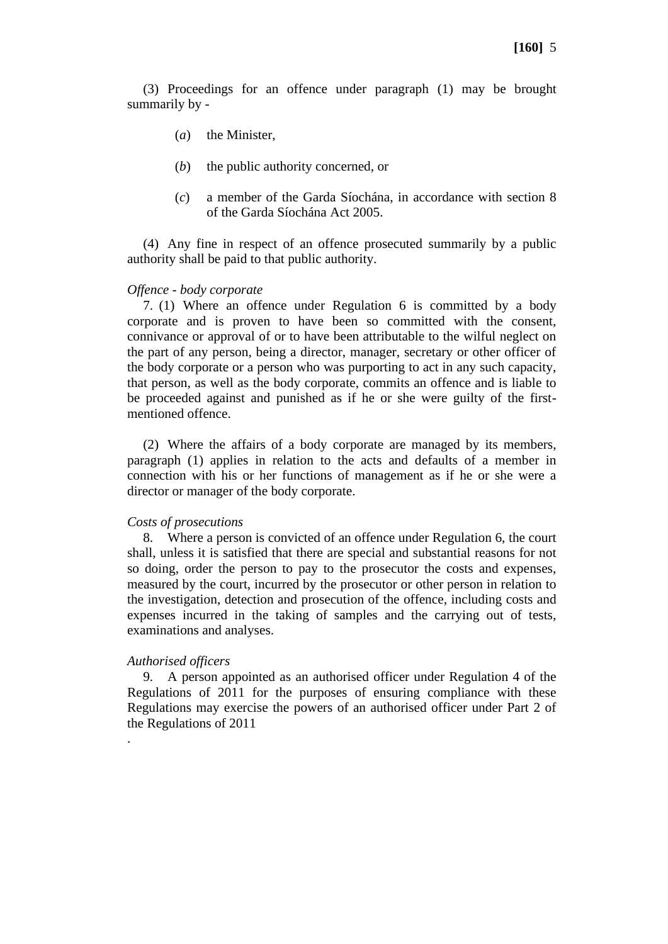(3) Proceedings for an offence under paragraph (1) may be brought summarily by -

- (*a*) the Minister,
- (*b*) the public authority concerned, or
- (*c*) a member of the Garda Síochána, in accordance with section 8 of the Garda Síochána Act 2005.

(4) Any fine in respect of an offence prosecuted summarily by a public authority shall be paid to that public authority.

### *Offence - body corporate*

7. (1) Where an offence under Regulation 6 is committed by a body corporate and is proven to have been so committed with the consent, connivance or approval of or to have been attributable to the wilful neglect on the part of any person, being a director, manager, secretary or other officer of the body corporate or a person who was purporting to act in any such capacity, that person, as well as the body corporate, commits an offence and is liable to be proceeded against and punished as if he or she were guilty of the firstmentioned offence.

(2) Where the affairs of a body corporate are managed by its members, paragraph (1) applies in relation to the acts and defaults of a member in connection with his or her functions of management as if he or she were a director or manager of the body corporate.

### *Costs of prosecutions*

8. Where a person is convicted of an offence under Regulation 6, the court shall, unless it is satisfied that there are special and substantial reasons for not so doing, order the person to pay to the prosecutor the costs and expenses, measured by the court, incurred by the prosecutor or other person in relation to the investigation, detection and prosecution of the offence, including costs and expenses incurred in the taking of samples and the carrying out of tests, examinations and analyses.

## *Authorised officers*

.

9. A person appointed as an authorised officer under Regulation 4 of the Regulations of 2011 for the purposes of ensuring compliance with these Regulations may exercise the powers of an authorised officer under Part 2 of the Regulations of 2011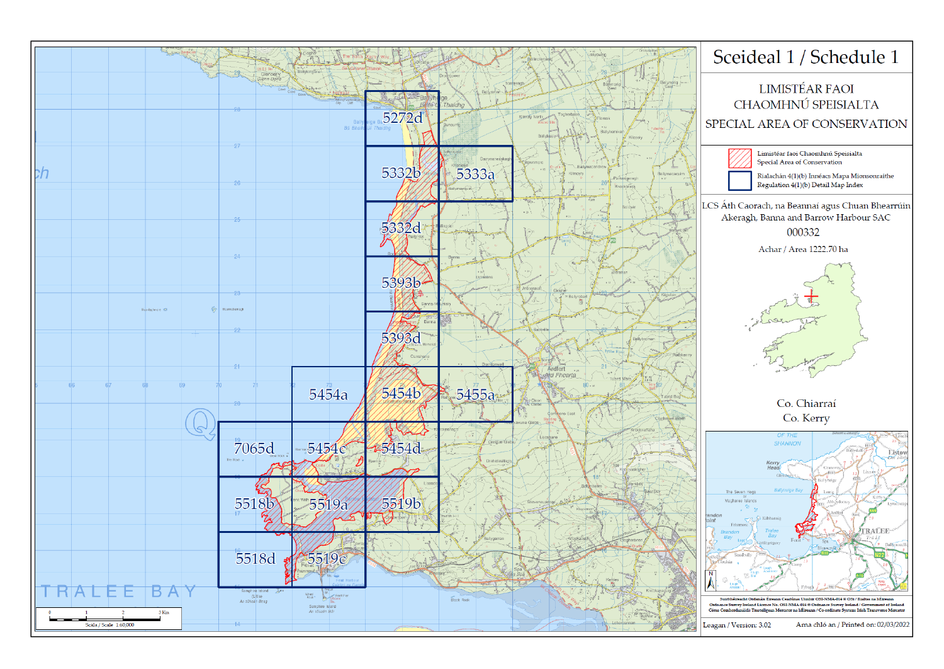



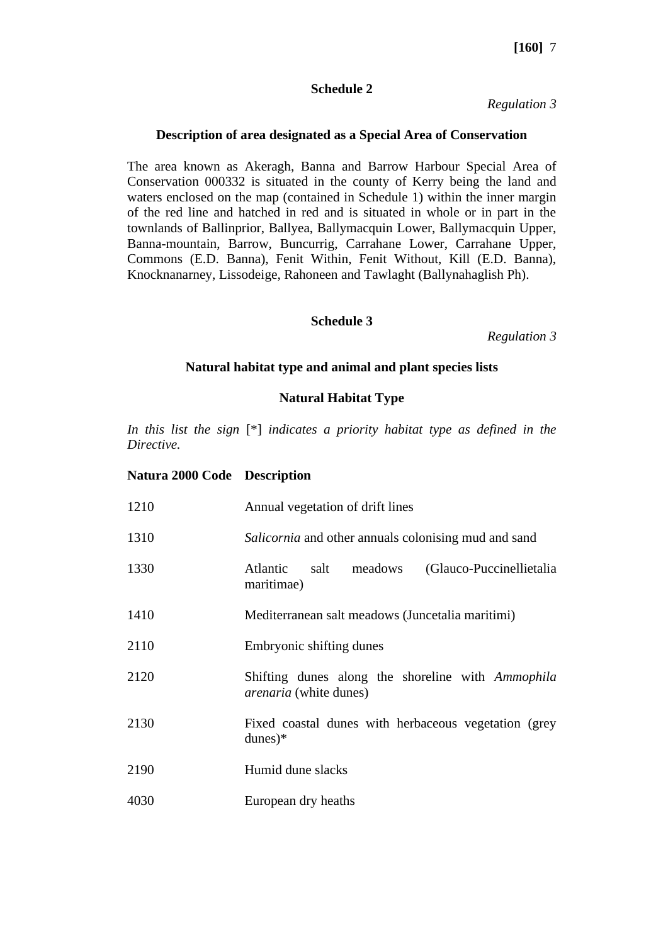### **Schedule 2**

*Regulation 3*

### **Description of area designated as a Special Area of Conservation**

The area known as Akeragh, Banna and Barrow Harbour Special Area of Conservation 000332 is situated in the county of Kerry being the land and waters enclosed on the map (contained in Schedule 1) within the inner margin of the red line and hatched in red and is situated in whole or in part in the townlands of Ballinprior, Ballyea, Ballymacquin Lower, Ballymacquin Upper, Banna-mountain, Barrow, Buncurrig, Carrahane Lower, Carrahane Upper, Commons (E.D. Banna), Fenit Within, Fenit Without, Kill (E.D. Banna), Knocknanarney, Lissodeige, Rahoneen and Tawlaght (Ballynahaglish Ph).

### **Schedule 3**

*Regulation 3*

## **Natural habitat type and animal and plant species lists**

# **Natural Habitat Type**

*In this list the sign* [\*] *indicates a priority habitat type as defined in the Directive.*

### **Natura 2000 Code Description**

| 1210 | Annual vegetation of drift lines                                                   |
|------|------------------------------------------------------------------------------------|
| 1310 | Salicornia and other annuals colonising mud and sand                               |
| 1330 | Atlantic<br>meadows<br>(Glauco-Puccinellietalia)<br>salt<br>maritimae)             |
| 1410 | Mediterranean salt meadows (Juncetalia maritimi)                                   |
| 2110 | Embryonic shifting dunes                                                           |
| 2120 | Shifting dunes along the shoreline with Ammophila<br><i>arenaria</i> (white dunes) |
| 2130 | Fixed coastal dunes with herbaceous vegetation (grey)<br>$dunes)*$                 |
| 2190 | Humid dune slacks                                                                  |
| 4030 | European dry heaths                                                                |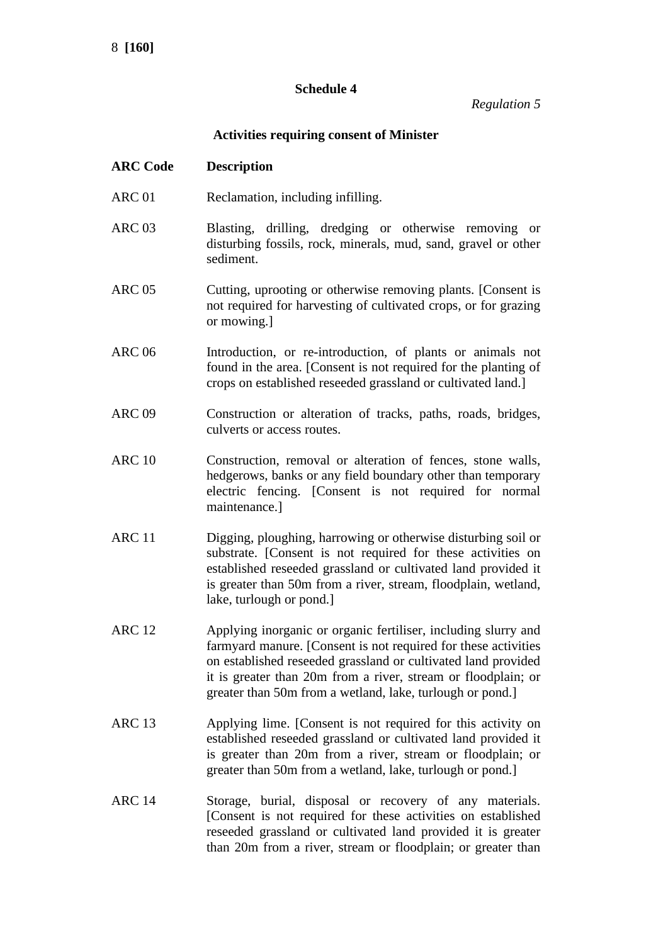# **Schedule 4**

*Regulation 5*

# **Activities requiring consent of Minister**

| <b>ARC Code</b> | <b>Description</b> |
|-----------------|--------------------|
|-----------------|--------------------|

- ARC 01 Reclamation, including infilling.
- ARC 03 Blasting, drilling, dredging or otherwise removing or disturbing fossils, rock, minerals, mud, sand, gravel or other sediment.
- ARC 05 Cutting, uprooting or otherwise removing plants. [Consent is not required for harvesting of cultivated crops, or for grazing or mowing.]
- ARC 06 Introduction, or re-introduction, of plants or animals not found in the area. [Consent is not required for the planting of crops on established reseeded grassland or cultivated land.]
- ARC 09 Construction or alteration of tracks, paths, roads, bridges, culverts or access routes.
- ARC 10 Construction, removal or alteration of fences, stone walls, hedgerows, banks or any field boundary other than temporary electric fencing. [Consent is not required for normal maintenance.]
- ARC 11 Digging, ploughing, harrowing or otherwise disturbing soil or substrate. [Consent is not required for these activities on established reseeded grassland or cultivated land provided it is greater than 50m from a river, stream, floodplain, wetland, lake, turlough or pond.]
- ARC 12 Applying inorganic or organic fertiliser, including slurry and farmyard manure. [Consent is not required for these activities on established reseeded grassland or cultivated land provided it is greater than 20m from a river, stream or floodplain; or greater than 50m from a wetland, lake, turlough or pond.]
- ARC 13 Applying lime. [Consent is not required for this activity on established reseeded grassland or cultivated land provided it is greater than 20m from a river, stream or floodplain; or greater than 50m from a wetland, lake, turlough or pond.]
- ARC 14 Storage, burial, disposal or recovery of any materials. [Consent is not required for these activities on established reseeded grassland or cultivated land provided it is greater than 20m from a river, stream or floodplain; or greater than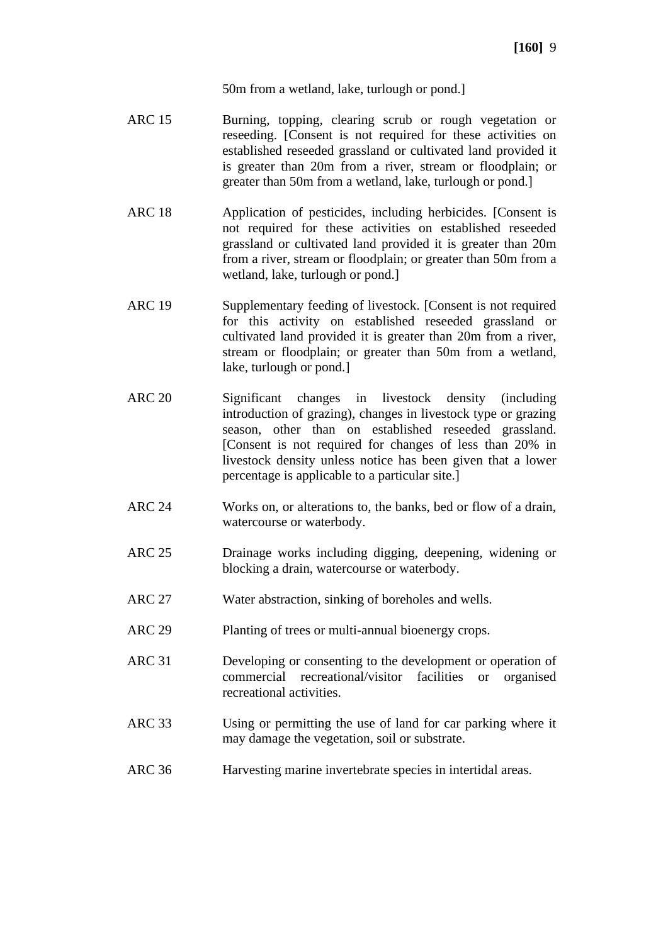50m from a wetland, lake, turlough or pond.]

- ARC 15 Burning, topping, clearing scrub or rough vegetation or reseeding. [Consent is not required for these activities on established reseeded grassland or cultivated land provided it is greater than 20m from a river, stream or floodplain; or greater than 50m from a wetland, lake, turlough or pond.]
- ARC 18 Application of pesticides, including herbicides. [Consent is not required for these activities on established reseeded grassland or cultivated land provided it is greater than 20m from a river, stream or floodplain; or greater than 50m from a wetland, lake, turlough or pond.]
- ARC 19 Supplementary feeding of livestock. [Consent is not required for this activity on established reseeded grassland or cultivated land provided it is greater than 20m from a river, stream or floodplain; or greater than 50m from a wetland, lake, turlough or pond.]
- ARC 20 Significant changes in livestock density (including introduction of grazing), changes in livestock type or grazing season, other than on established reseeded grassland. [Consent is not required for changes of less than 20% in livestock density unless notice has been given that a lower percentage is applicable to a particular site.]
- ARC 24 Works on, or alterations to, the banks, bed or flow of a drain, watercourse or waterbody.
- ARC 25 Drainage works including digging, deepening, widening or blocking a drain, watercourse or waterbody.
- ARC 27 Water abstraction, sinking of boreholes and wells.
- ARC 29 Planting of trees or multi-annual bioenergy crops.
- ARC 31 Developing or consenting to the development or operation of commercial recreational/visitor facilities or organised recreational activities.
- ARC 33 Using or permitting the use of land for car parking where it may damage the vegetation, soil or substrate.
- ARC 36 Harvesting marine invertebrate species in intertidal areas.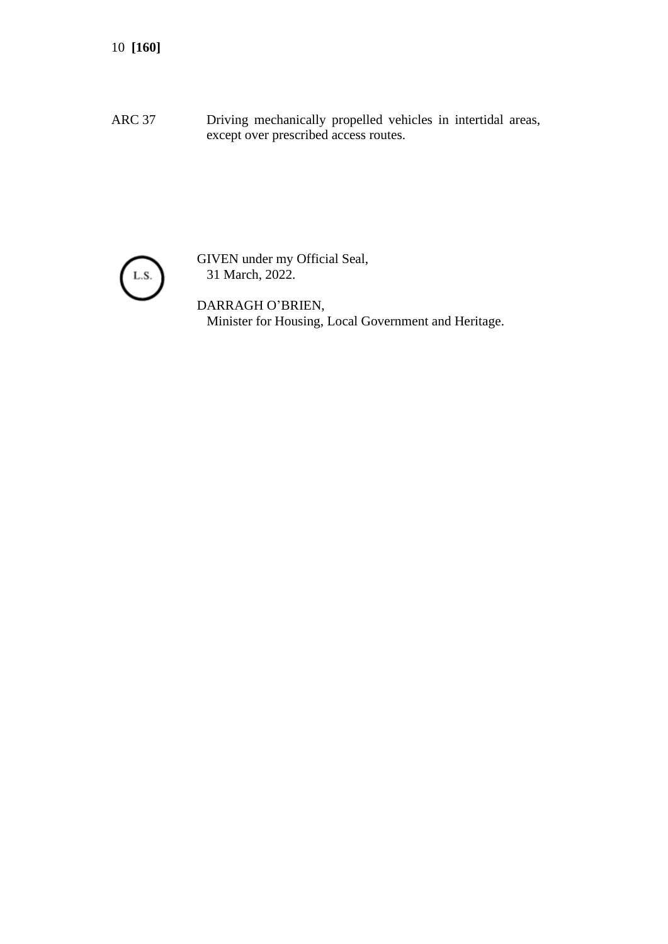ARC 37 Driving mechanically propelled vehicles in intertidal areas, except over prescribed access routes.



GIVEN under my Official Seal, 31 March, 2022.

DARRAGH O'BRIEN, Minister for Housing, Local Government and Heritage.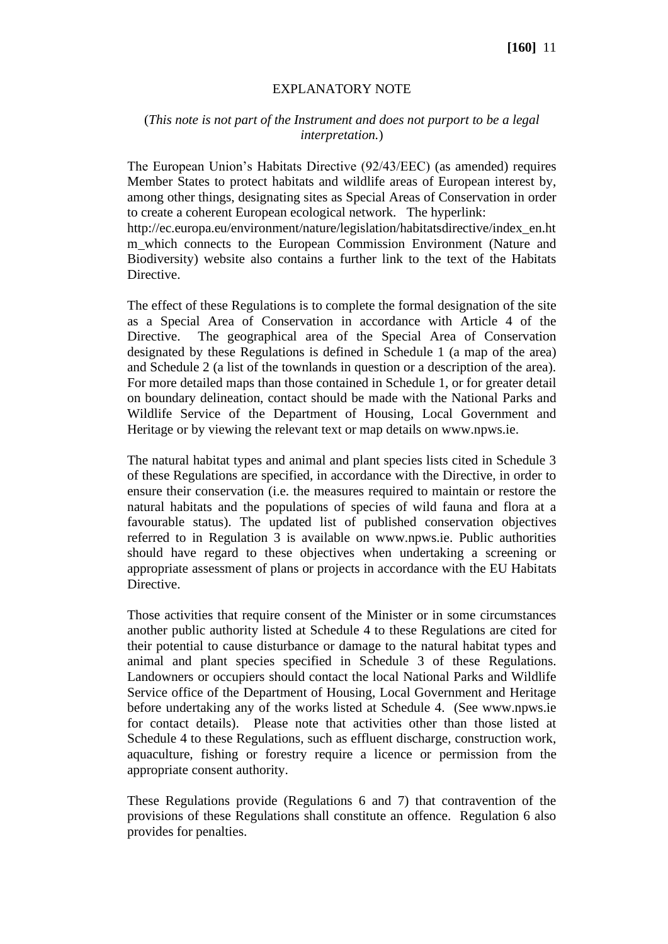## EXPLANATORY NOTE

## (*This note is not part of the Instrument and does not purport to be a legal interpretation.*)

The European Union's Habitats Directive (92/43/EEC) (as amended) requires Member States to protect habitats and wildlife areas of European interest by, among other things, designating sites as Special Areas of Conservation in order to create a coherent European ecological network. The hyperlink:

http://ec.europa.eu/environment/nature/legislation/habitatsdirective/index\_en.ht m which connects to the European Commission Environment (Nature and Biodiversity) website also contains a further link to the text of the Habitats Directive.

The effect of these Regulations is to complete the formal designation of the site as a Special Area of Conservation in accordance with Article 4 of the Directive. The geographical area of the Special Area of Conservation designated by these Regulations is defined in Schedule 1 (a map of the area) and Schedule 2 (a list of the townlands in question or a description of the area). For more detailed maps than those contained in Schedule 1, or for greater detail on boundary delineation, contact should be made with the National Parks and Wildlife Service of the Department of Housing, Local Government and Heritage or by viewing the relevant text or map details on www.npws.ie.

The natural habitat types and animal and plant species lists cited in Schedule 3 of these Regulations are specified, in accordance with the Directive, in order to ensure their conservation (i.e. the measures required to maintain or restore the natural habitats and the populations of species of wild fauna and flora at a favourable status). The updated list of published conservation objectives referred to in Regulation 3 is available on www.npws.ie. Public authorities should have regard to these objectives when undertaking a screening or appropriate assessment of plans or projects in accordance with the EU Habitats Directive.

Those activities that require consent of the Minister or in some circumstances another public authority listed at Schedule 4 to these Regulations are cited for their potential to cause disturbance or damage to the natural habitat types and animal and plant species specified in Schedule 3 of these Regulations. Landowners or occupiers should contact the local National Parks and Wildlife Service office of the Department of Housing, Local Government and Heritage before undertaking any of the works listed at Schedule 4. (See www.npws.ie for contact details). Please note that activities other than those listed at Schedule 4 to these Regulations, such as effluent discharge, construction work, aquaculture, fishing or forestry require a licence or permission from the appropriate consent authority.

These Regulations provide (Regulations 6 and 7) that contravention of the provisions of these Regulations shall constitute an offence. Regulation 6 also provides for penalties.